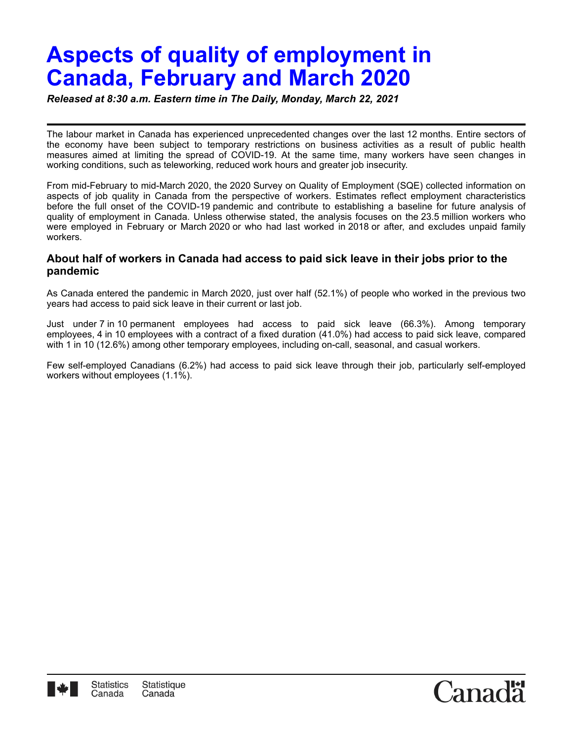# **Aspects of quality of employment in Canada, February and March 2020**

*Released at 8:30 a.m. Eastern time in The Daily, Monday, March 22, 2021*

The labour market in Canada has experienced unprecedented changes over the last 12 months. Entire sectors of the economy have been subject to temporary restrictions on business activities as a result of public health measures aimed at limiting the spread of COVID-19. At the same time, many workers have seen changes in working conditions, such as teleworking, reduced work hours and greater job insecurity.

From mid-February to mid-March 2020, the 2020 Survey on Quality of Employment (SQE) collected information on aspects of job quality in Canada from the perspective of workers. Estimates reflect employment characteristics before the full onset of the COVID-19 pandemic and contribute to establishing a baseline for future analysis of quality of employment in Canada. Unless otherwise stated, the analysis focuses on the 23.5 million workers who were employed in February or March 2020 or who had last worked in 2018 or after, and excludes unpaid family workers.

## **About half of workers in Canada had access to paid sick leave in their jobs prior to the pandemic**

As Canada entered the pandemic in March 2020, just over half (52.1%) of people who worked in the previous two years had access to paid sick leave in their current or last job.

Just under 7 in 10 permanent employees had access to paid sick leave (66.3%). Among temporary employees, 4 in 10 employees with a contract of a fixed duration (41.0%) had access to paid sick leave, compared with 1 in 10 (12.6%) among other temporary employees, including on-call, seasonal, and casual workers.

Few self-employed Canadians (6.2%) had access to paid sick leave through their job, particularly self-employed workers without employees (1.1%).

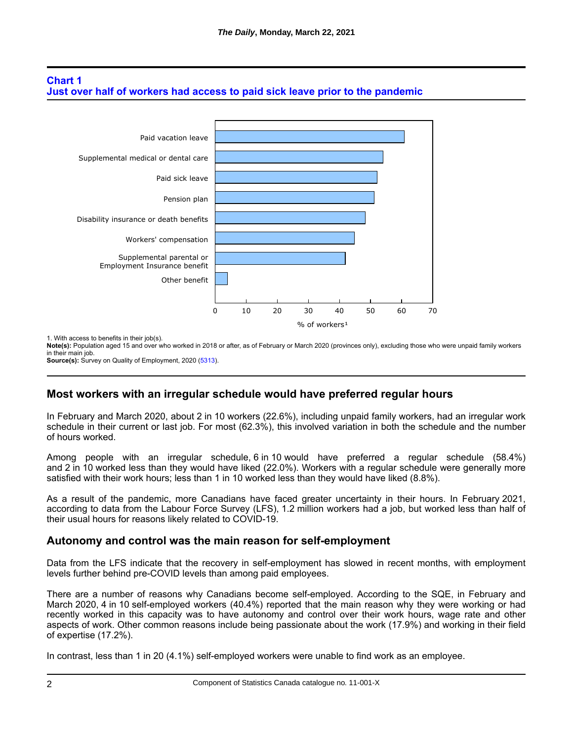# **Chart 1 Just over half of workers had access to paid sick leave prior to the pandemic**



1. With access to benefits in their job(s).

**Note(s):** Population aged 15 and over who worked in 2018 or after, as of February or March 2020 (provinces only), excluding those who were unpaid family workers in their main job. **Source(s):** Survey on Quality of Employment, 2020 [\(5313\)](http://www23.statcan.gc.ca/imdb/p2SV.pl?Function=getSurvey&SDDS=5313).

# **Most workers with an irregular schedule would have preferred regular hours**

In February and March 2020, about 2 in 10 workers (22.6%), including unpaid family workers, had an irregular work schedule in their current or last job. For most (62.3%), this involved variation in both the schedule and the number of hours worked.

Among people with an irregular schedule, 6 in 10 would have preferred a regular schedule (58.4%) and 2 in 10 worked less than they would have liked (22.0%). Workers with a regular schedule were generally more satisfied with their work hours; less than 1 in 10 worked less than they would have liked (8.8%).

As a result of the pandemic, more Canadians have faced greater uncertainty in their hours. In February 2021, according to data from the Labour Force Survey (LFS), 1.2 million workers had a job, but worked less than half of their usual hours for reasons likely related to COVID-19.

## **Autonomy and control was the main reason for self-employment**

Data from the LFS indicate that the recovery in self-employment has slowed in recent months, with employment levels further behind pre-COVID levels than among paid employees.

There are a number of reasons why Canadians become self-employed. According to the SQE, in February and March 2020, 4 in 10 self-employed workers (40.4%) reported that the main reason why they were working or had recently worked in this capacity was to have autonomy and control over their work hours, wage rate and other aspects of work. Other common reasons include being passionate about the work (17.9%) and working in their field of expertise (17.2%).

In contrast, less than 1 in 20 (4.1%) self-employed workers were unable to find work as an employee.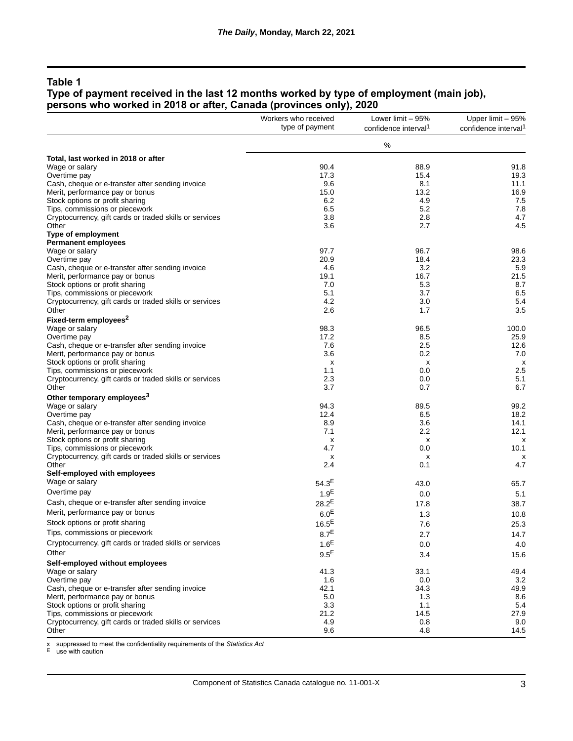#### **Type of payment received in the last 12 months worked by type of employment (main job), persons who worked in 2018 or after, Canada (provinces only), 2020**

|                                                         | Workers who received | Lower limit - 95%                | Upper limit - 95%                |
|---------------------------------------------------------|----------------------|----------------------------------|----------------------------------|
|                                                         | type of payment      | confidence interval <sup>1</sup> | confidence interval <sup>1</sup> |
|                                                         |                      | $\%$                             |                                  |
| Total, last worked in 2018 or after                     |                      |                                  |                                  |
| Wage or salary                                          | 90.4                 | 88.9                             | 91.8                             |
| Overtime pay                                            | 17.3                 | 15.4                             | 19.3                             |
| Cash, cheque or e-transfer after sending invoice        | 9.6                  | 8.1                              | 11.1                             |
| Merit, performance pay or bonus                         | 15.0                 | 13.2                             | 16.9                             |
| Stock options or profit sharing                         | 6.2                  | 4.9                              | 7.5                              |
| Tips, commissions or piecework                          | 6.5                  | 5.2                              | 7.8                              |
| Cryptocurrency, gift cards or traded skills or services | 3.8                  | 2.8                              | 4.7                              |
| Other                                                   | 3.6                  | 2.7                              | 4.5                              |
| Type of employment                                      |                      |                                  |                                  |
| <b>Permanent employees</b>                              | 97.7                 | 96.7                             |                                  |
| Wage or salary<br>Overtime pay                          | 20.9                 | 18.4                             | 98.6<br>23.3                     |
| Cash, cheque or e-transfer after sending invoice        | 4.6                  | 3.2                              | 5.9                              |
| Merit, performance pay or bonus                         | 19.1                 | 16.7                             | 21.5                             |
| Stock options or profit sharing                         | 7.0                  | 5.3                              | 8.7                              |
| Tips, commissions or piecework                          | 5.1                  | 3.7                              | 6.5                              |
| Cryptocurrency, gift cards or traded skills or services | 4.2                  | 3.0                              | 5.4                              |
| Other                                                   | 2.6                  | 1.7                              | 3.5                              |
| Fixed-term employees <sup>2</sup>                       |                      |                                  |                                  |
| Wage or salary                                          | 98.3                 | 96.5                             | 100.0                            |
| Overtime pay                                            | 17.2                 | 8.5                              | 25.9                             |
| Cash, cheque or e-transfer after sending invoice        | 7.6                  | 2.5                              | 12.6                             |
| Merit, performance pay or bonus                         | 3.6                  | 0.2                              | 7.0                              |
| Stock options or profit sharing                         | X                    | X                                | x                                |
| Tips, commissions or piecework                          | 1.1                  | 0.0                              | 2.5                              |
| Cryptocurrency, gift cards or traded skills or services | 2.3                  | 0.0                              | 5.1                              |
| Other                                                   | 3.7                  | 0.7                              | 6.7                              |
| Other temporary employees <sup>3</sup>                  |                      |                                  |                                  |
| Wage or salary                                          | 94.3                 | 89.5                             | 99.2                             |
| Overtime pay                                            | 12.4                 | 6.5                              | 18.2                             |
| Cash, cheque or e-transfer after sending invoice        | 8.9                  | 3.6                              | 14.1                             |
| Merit, performance pay or bonus                         | 7.1                  | 2.2                              | 12.1                             |
| Stock options or profit sharing                         | x                    | х                                | х                                |
| Tips, commissions or piecework                          | 4.7                  | 0.0                              | 10.1                             |
| Cryptocurrency, gift cards or traded skills or services | х                    | х                                | х                                |
| Other                                                   | 2.4                  | 0.1                              | 4.7                              |
| Self-employed with employees                            |                      |                                  |                                  |
| Wage or salary                                          | $54.3^{E}$           | 43.0                             | 65.7                             |
| Overtime pay                                            | 1.9 <sup>E</sup>     | 0.0                              | 5.1                              |
| Cash, cheque or e-transfer after sending invoice        | $28.2^{E}$           | 17.8                             | 38.7                             |
| Merit, performance pay or bonus                         | 6.0 <sup>E</sup>     | 1.3                              | 10.8                             |
| Stock options or profit sharing                         | $16.5^{E}$           | 7.6                              | 25.3                             |
| Tips, commissions or piecework                          |                      |                                  |                                  |
| Cryptocurrency, gift cards or traded skills or services | 8.7 <sup>⊨</sup>     | 2.7                              | 14.7                             |
|                                                         | 1.6 <sup>E</sup>     | 0.0                              | 4.0                              |
| Other                                                   | $9.5^{\text{E}}$     | 3.4                              | 15.6                             |
| Self-employed without employees                         |                      |                                  |                                  |
| Wage or salary                                          | 41.3                 | 33.1                             | 49.4                             |
| Overtime pay                                            | 1.6                  | 0.0                              | 3.2                              |
| Cash, cheque or e-transfer after sending invoice        | 42.1                 | 34.3                             | 49.9                             |
| Merit, performance pay or bonus                         | 5.0                  | 1.3                              | 8.6                              |
| Stock options or profit sharing                         | 3.3                  | 1.1                              | 5.4                              |
| Tips, commissions or piecework                          | 21.2                 | 14.5                             | 27.9                             |
| Cryptocurrency, gift cards or traded skills or services | 4.9                  | 0.8                              | 9.0                              |
| Other                                                   | 9.6                  | 4.8                              | 14.5                             |

x suppressed to meet the confidentiality requirements of the *Statistics Act* E use with caution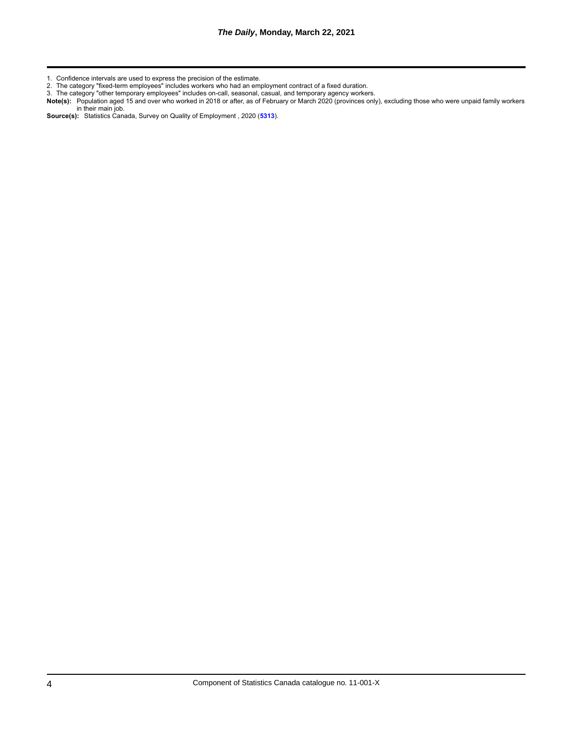2. The category "fixed-term employees" includes workers who had an employment contract of a fixed duration.

3. The category "other temporary employees" includes on-call, seasonal, casual, and temporary agency workers.

**Note(s):** Population aged 15 and over who worked in 2018 or after, as of February or March 2020 (provinces only), excluding those who were unpaid family workers in their main job.

**Source(s):** Statistics Canada, Survey on Quality of Employment , 2020 (**[5313](http://www23.statcan.gc.ca/imdb/p2SV.pl?Function=getSurvey&SDDS=5313)**).

<sup>1.</sup> Confidence intervals are used to express the precision of the estimate.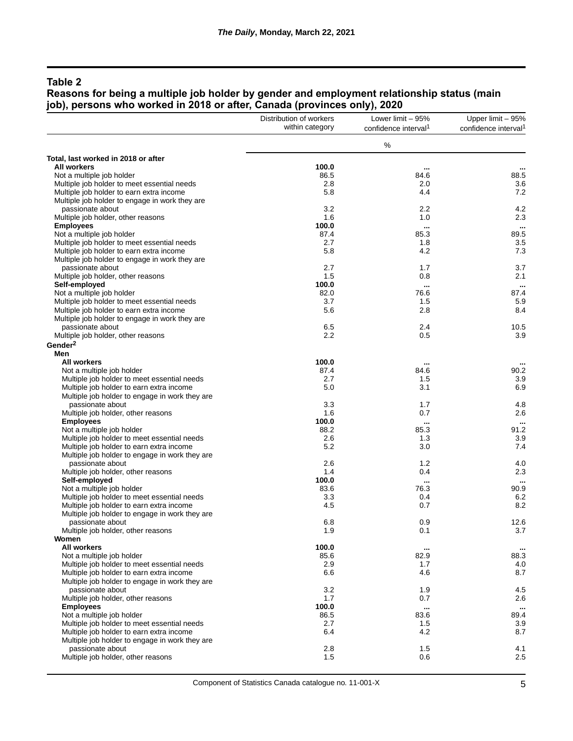#### **Reasons for being a multiple job holder by gender and employment relationship status (main job), persons who worked in 2018 or after, Canada (provinces only), 2020**

|                                                                                            | Distribution of workers | Lower limit - 95%                | Upper limit - 95%                |
|--------------------------------------------------------------------------------------------|-------------------------|----------------------------------|----------------------------------|
|                                                                                            | within category         | confidence interval <sup>1</sup> | confidence interval <sup>1</sup> |
|                                                                                            |                         | $\%$                             |                                  |
| Total, last worked in 2018 or after                                                        |                         |                                  |                                  |
| <b>All workers</b>                                                                         | 100.0                   |                                  |                                  |
| Not a multiple job holder                                                                  | 86.5                    | 84.6                             | 88.5                             |
| Multiple job holder to meet essential needs                                                | 2.8                     | 2.0                              | 3.6                              |
| Multiple job holder to earn extra income                                                   | 5.8                     | 4.4                              | 7.2                              |
| Multiple job holder to engage in work they are                                             |                         |                                  |                                  |
| passionate about                                                                           | 3.2                     | 2.2                              | 4.2                              |
| Multiple job holder, other reasons                                                         | 1.6                     | 1.0                              | 2.3                              |
| <b>Employees</b>                                                                           | 100.0                   |                                  | $\cdots$                         |
| Not a multiple job holder                                                                  | 87.4                    | 85.3                             | 89.5                             |
| Multiple job holder to meet essential needs                                                | 2.7                     | 1.8                              | 3.5                              |
| Multiple job holder to earn extra income                                                   | 5.8                     | 4.2                              | 7.3                              |
| Multiple job holder to engage in work they are                                             |                         |                                  |                                  |
| passionate about                                                                           | 2.7                     | 1.7                              | 3.7                              |
| Multiple job holder, other reasons                                                         | 1.5                     | 0.8                              | 2.1                              |
| Self-employed                                                                              | 100.0                   |                                  | $\cdots$<br>87.4                 |
| Not a multiple job holder                                                                  | 82.0                    | 76.6                             |                                  |
| Multiple job holder to meet essential needs                                                | 3.7<br>5.6              | 1.5<br>2.8                       | 5.9<br>8.4                       |
| Multiple job holder to earn extra income<br>Multiple job holder to engage in work they are |                         |                                  |                                  |
| passionate about                                                                           | 6.5                     | 2.4                              | 10.5                             |
| Multiple job holder, other reasons                                                         | 2.2                     | 0.5                              | 3.9                              |
| Gender <sup>2</sup>                                                                        |                         |                                  |                                  |
| Men                                                                                        |                         |                                  |                                  |
| <b>All workers</b>                                                                         | 100.0                   |                                  |                                  |
| Not a multiple job holder                                                                  | 87.4                    | 84.6                             | 90.2                             |
| Multiple job holder to meet essential needs                                                | 2.7                     | 1.5                              | 3.9                              |
| Multiple job holder to earn extra income                                                   | 5.0                     | 3.1                              | 6.9                              |
| Multiple job holder to engage in work they are                                             |                         |                                  |                                  |
| passionate about                                                                           | 3.3                     | 1.7                              | 4.8                              |
| Multiple job holder, other reasons                                                         | 1.6                     | 0.7                              | 2.6                              |
| <b>Employees</b>                                                                           | 100.0                   |                                  |                                  |
| Not a multiple job holder                                                                  | 88.2                    | 85.3                             | 91.2                             |
| Multiple job holder to meet essential needs                                                | 2.6                     | 1.3                              | 3.9                              |
| Multiple job holder to earn extra income                                                   | 5.2                     | 3.0                              | 7.4                              |
| Multiple job holder to engage in work they are                                             |                         |                                  |                                  |
| passionate about                                                                           | 2.6                     | 1.2                              | 4.0                              |
| Multiple job holder, other reasons                                                         | 1.4                     | 0.4                              | 2.3                              |
| Self-employed                                                                              | 100.0                   |                                  |                                  |
| Not a multiple job holder                                                                  | 83.6                    | 76.3                             | 90.9                             |
| Multiple job holder to meet essential needs                                                | 3.3                     | 0.4                              | 6.2                              |
| Multiple job holder to earn extra income                                                   | 4.5                     | 0.7                              | 8.2                              |
| Multiple job holder to engage in work they are                                             |                         |                                  |                                  |
| passionate about                                                                           | 6.8                     | 0.9                              | 12.6                             |
| Multiple job holder, other reasons                                                         | 1.9                     | 0.1                              | 3.7                              |
| Women                                                                                      |                         |                                  |                                  |
| All workers                                                                                | 100.0                   | $\cdots$                         | $\cdots$                         |
| Not a multiple job holder                                                                  | 85.6                    | 82.9                             | 88.3                             |
| Multiple job holder to meet essential needs                                                | 2.9                     | 1.7                              | 4.0                              |
| Multiple job holder to earn extra income                                                   | 6.6                     | 4.6                              | 8.7                              |
| Multiple job holder to engage in work they are                                             |                         |                                  |                                  |
| passionate about                                                                           | 3.2                     | 1.9                              | 4.5                              |
| Multiple job holder, other reasons                                                         | 1.7                     | 0.7                              | 2.6                              |
| <b>Employees</b>                                                                           | 100.0                   | $\cdots$                         |                                  |
| Not a multiple job holder                                                                  | 86.5                    | 83.6                             | 89.4                             |
| Multiple job holder to meet essential needs                                                | 2.7                     | 1.5                              | 3.9                              |
| Multiple job holder to earn extra income                                                   | 6.4                     | 4.2                              | 8.7                              |
| Multiple job holder to engage in work they are                                             |                         |                                  |                                  |
| passionate about                                                                           | 2.8                     | 1.5                              | 4.1                              |
| Multiple job holder, other reasons                                                         | 1.5                     | 0.6                              | 2.5                              |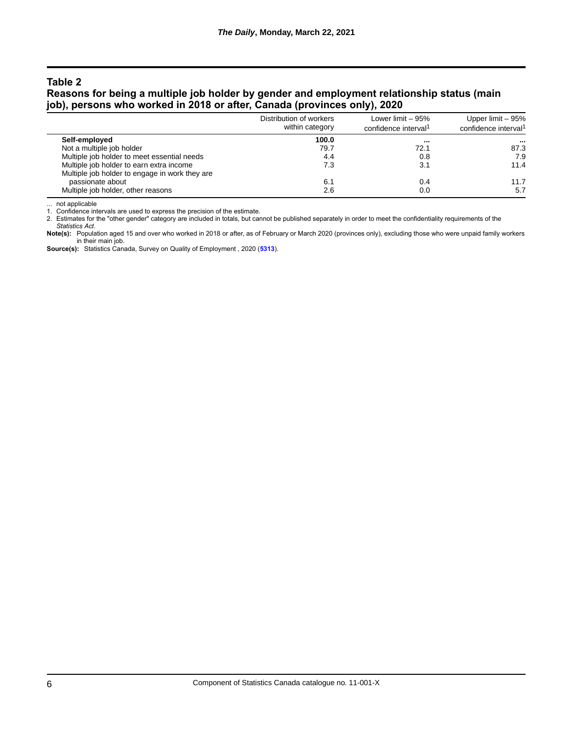### **Reasons for being a multiple job holder by gender and employment relationship status (main job), persons who worked in 2018 or after, Canada (provinces only), 2020**

|                                                | Distribution of workers<br>within category | Lower limit $-95%$               | Upper limit - 95%<br>confidence interval <sup>1</sup> |
|------------------------------------------------|--------------------------------------------|----------------------------------|-------------------------------------------------------|
|                                                |                                            | confidence interval <sup>1</sup> |                                                       |
| Self-employed                                  | 100.0                                      |                                  | $\cdots$                                              |
| Not a multiple job holder                      | 79.7                                       | 72.1                             | 87.3                                                  |
| Multiple job holder to meet essential needs    | 4.4                                        | 0.8                              | 7.9                                                   |
| Multiple job holder to earn extra income       | 7.3                                        | 3.1                              | 11.4                                                  |
| Multiple job holder to engage in work they are |                                            |                                  |                                                       |
| passionate about                               | 6.1                                        | 0.4                              | 11.7                                                  |
| Multiple job holder, other reasons             | 2.6                                        | 0.0                              | 5.7                                                   |

... not applicable

1. Confidence intervals are used to express the precision of the estimate.

2. Estimates for the "other gender" category are included in totals, but cannot be published separately in order to meet the confidentiality requirements of the

*Statistics Act*. **Note(s):** Population aged 15 and over who worked in 2018 or after, as of February or March 2020 (provinces only), excluding those who were unpaid family workers in their main job.

**Source(s):** Statistics Canada, Survey on Quality of Employment , 2020 (**[5313](http://www23.statcan.gc.ca/imdb/p2SV.pl?Function=getSurvey&SDDS=5313)**).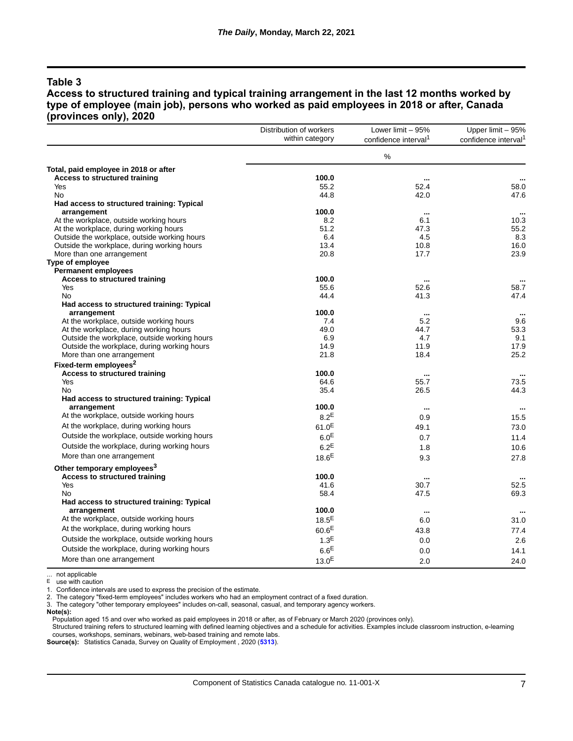**Access to structured training and typical training arrangement in the last 12 months worked by type of employee (main job), persons who worked as paid employees in 2018 or after, Canada (provinces only), 2020**

|                                              | Distribution of workers | Lower limit - 95%                | Upper limit - 95%                |
|----------------------------------------------|-------------------------|----------------------------------|----------------------------------|
|                                              | within category         | confidence interval <sup>1</sup> | confidence interval <sup>1</sup> |
|                                              |                         | %                                |                                  |
| Total, paid employee in 2018 or after        |                         |                                  |                                  |
| <b>Access to structured training</b>         | 100.0                   |                                  |                                  |
| Yes                                          | 55.2                    | 52.4                             | 58.0                             |
| No                                           | 44.8                    | 42.0                             | 47.6                             |
| Had access to structured training: Typical   |                         |                                  |                                  |
| arrangement                                  | 100.0                   | $\cdots$                         | $\ddotsc$                        |
| At the workplace, outside working hours      | 8.2                     | 6.1                              | 10.3                             |
| At the workplace, during working hours       | 51.2                    | 47.3                             | 55.2                             |
| Outside the workplace, outside working hours | 6.4                     | 4.5                              | 8.3                              |
| Outside the workplace, during working hours  | 13.4                    | 10.8                             | 16.0                             |
| More than one arrangement                    | 20.8                    | 17.7                             | 23.9                             |
| Type of employee                             |                         |                                  |                                  |
| <b>Permanent employees</b>                   |                         |                                  |                                  |
| <b>Access to structured training</b>         | 100.0                   |                                  | $\ddotsc$                        |
| Yes                                          | 55.6                    | 52.6                             | 58.7                             |
| No                                           | 44.4                    | 41.3                             | 47.4                             |
| Had access to structured training: Typical   |                         |                                  |                                  |
| arrangement                                  | 100.0                   | $\ddotsc$                        |                                  |
| At the workplace, outside working hours      | 7.4                     | 5.2                              | 9.6                              |
| At the workplace, during working hours       | 49.0                    | 44.7                             | 53.3                             |
| Outside the workplace, outside working hours | 6.9                     | 4.7                              | 9.1                              |
| Outside the workplace, during working hours  | 14.9                    | 11.9                             | 17.9                             |
| More than one arrangement                    | 21.8                    | 18.4                             | 25.2                             |
| Fixed-term employees <sup>2</sup>            |                         |                                  |                                  |
| <b>Access to structured training</b>         | 100.0                   | $\cdots$                         | $\cdots$                         |
| Yes                                          | 64.6                    | 55.7                             | 73.5                             |
| <b>No</b>                                    | 35.4                    | 26.5                             | 44.3                             |
| Had access to structured training: Typical   |                         |                                  |                                  |
| arrangement                                  | 100.0                   |                                  | $\ddotsc$                        |
| At the workplace, outside working hours      | $8.2^E$                 | 0.9                              | 15.5                             |
| At the workplace, during working hours       | 61.0 <sup>E</sup>       | 49.1                             | 73.0                             |
| Outside the workplace, outside working hours | 6.0 <sup>E</sup>        | 0.7                              | 11.4                             |
| Outside the workplace, during working hours  | $6.2^E$                 | 1.8                              | 10.6                             |
| More than one arrangement                    | 18.6 <sup>E</sup>       |                                  |                                  |
|                                              |                         | 9.3                              | 27.8                             |
| Other temporary employees <sup>3</sup>       |                         |                                  |                                  |
| <b>Access to structured training</b>         | 100.0                   |                                  |                                  |
| Yes                                          | 41.6                    | 30.7                             | 52.5                             |
| No                                           | 58.4                    | 47.5                             | 69.3                             |
| Had access to structured training: Typical   |                         |                                  |                                  |
| arrangement                                  | 100.0                   | $\ddotsc$                        |                                  |
| At the workplace, outside working hours      | $18.5^E$                | 6.0                              | 31.0                             |
| At the workplace, during working hours       | 60.6 <sup>E</sup>       | 43.8                             | 77.4                             |
| Outside the workplace, outside working hours | 1.3 <sup>E</sup>        | 0.0                              | 2.6                              |
| Outside the workplace, during working hours  | 6.6 <sup>E</sup>        | 0.0                              | 14.1                             |
| More than one arrangement                    |                         |                                  |                                  |
|                                              | $13.0^{\sf E}$          | 2.0                              | 24.0                             |

... not applicable E use with caution

1. Confidence intervals are used to express the precision of the estimate.

2. The category "fixed-term employees" includes workers who had an employment contract of a fixed duration.

3. The category "other temporary employees" includes on-call, seasonal, casual, and temporary agency workers.

**Note(s):**

Population aged 15 and over who worked as paid employees in 2018 or after, as of February or March 2020 (provinces only).

Structured training refers to structured learning with defined learning objectives and a schedule for activities. Examples include classroom instruction, e-learning courses, workshops, seminars, webinars, web-based training and remote labs.

**Source(s):** Statistics Canada, Survey on Quality of Employment , 2020 (**[5313](http://www23.statcan.gc.ca/imdb/p2SV.pl?Function=getSurvey&SDDS=5313)**).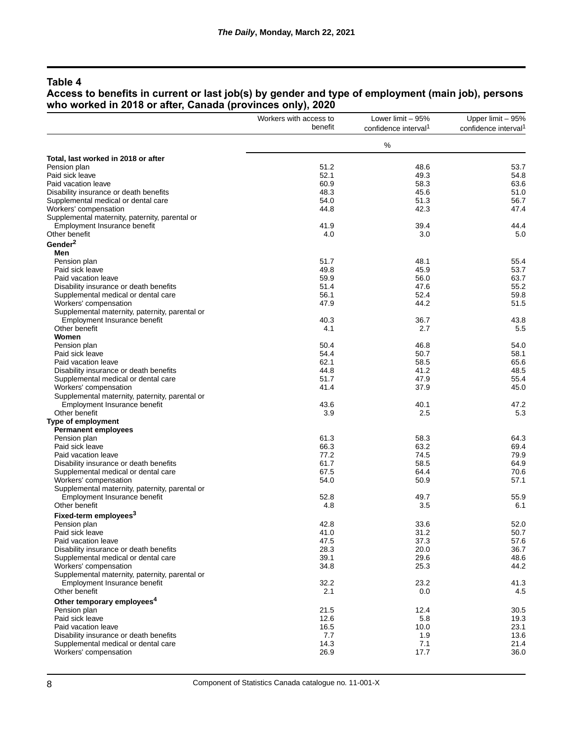#### **Access to benefits in current or last job(s) by gender and type of employment (main job), persons who worked in 2018 or after, Canada (provinces only), 2020**

|                                                | Workers with access to | Lower limit $-95%$               | Upper limit - 95%                |
|------------------------------------------------|------------------------|----------------------------------|----------------------------------|
|                                                | benefit                | confidence interval <sup>1</sup> | confidence interval <sup>1</sup> |
|                                                |                        | $\%$                             |                                  |
| Total, last worked in 2018 or after            |                        |                                  |                                  |
| Pension plan                                   | 51.2                   | 48.6                             | 53.7                             |
| Paid sick leave                                | 52.1                   | 49.3                             | 54.8                             |
| Paid vacation leave                            | 60.9                   | 58.3                             | 63.6                             |
| Disability insurance or death benefits         | 48.3                   | 45.6                             | 51.0                             |
| Supplemental medical or dental care            | 54.0                   | 51.3                             | 56.7                             |
| Workers' compensation                          | 44.8                   | 42.3                             | 47.4                             |
| Supplemental maternity, paternity, parental or |                        |                                  |                                  |
| Employment Insurance benefit                   | 41.9                   | 39.4                             | 44.4                             |
| Other benefit                                  | 4.0                    | 3.0                              | 5.0                              |
| Gender <sup>2</sup>                            |                        |                                  |                                  |
| Men                                            |                        |                                  |                                  |
| Pension plan                                   | 51.7                   | 48.1                             | 55.4                             |
| Paid sick leave                                | 49.8                   | 45.9                             | 53.7                             |
| Paid vacation leave                            | 59.9                   | 56.0                             | 63.7                             |
| Disability insurance or death benefits         | 51.4                   | 47.6                             | 55.2                             |
| Supplemental medical or dental care            | 56.1                   | 52.4                             | 59.8                             |
| Workers' compensation                          | 47.9                   | 44.2                             | 51.5                             |
| Supplemental maternity, paternity, parental or |                        |                                  |                                  |
| Employment Insurance benefit                   | 40.3                   | 36.7                             | 43.8                             |
| Other benefit                                  | 4.1                    | 2.7                              | 5.5                              |
| Women                                          |                        |                                  |                                  |
| Pension plan                                   | 50.4                   | 46.8                             | 54.0                             |
| Paid sick leave                                | 54.4                   | 50.7                             | 58.1                             |
| Paid vacation leave                            | 62.1                   | 58.5                             | 65.6                             |
| Disability insurance or death benefits         | 44.8                   | 41.2                             | 48.5                             |
| Supplemental medical or dental care            | 51.7                   | 47.9                             | 55.4                             |
| Workers' compensation                          | 41.4                   | 37.9                             | 45.0                             |
| Supplemental maternity, paternity, parental or |                        |                                  |                                  |
| Employment Insurance benefit                   | 43.6                   | 40.1                             | 47.2                             |
| Other benefit                                  | 3.9                    | 2.5                              | 5.3                              |
| Type of employment                             |                        |                                  |                                  |
| Permanent employees                            |                        |                                  |                                  |
| Pension plan                                   | 61.3                   | 58.3                             | 64.3                             |
| Paid sick leave                                | 66.3                   | 63.2                             | 69.4                             |
| Paid vacation leave                            | 77.2                   | 74.5                             | 79.9                             |
| Disability insurance or death benefits         | 61.7                   | 58.5                             | 64.9                             |
| Supplemental medical or dental care            | 67.5                   | 64.4                             | 70.6                             |
| Workers' compensation                          | 54.0                   | 50.9                             | 57.1                             |
| Supplemental maternity, paternity, parental or |                        |                                  |                                  |
| Employment Insurance benefit                   | 52.8                   | 49.7                             | 55.9                             |
| Other benefit                                  | 4.8                    | 3.5                              | 6.1                              |
| Fixed-term employees <sup>3</sup>              |                        |                                  |                                  |
| Pension plan                                   | 42.8                   | 33.6                             | 52.0                             |
| Paid sick leave                                | 41.0                   | 31.2                             | 50.7                             |
| Paid vacation leave                            | 47.5                   | 37.3                             | 57.6                             |
| Disability insurance or death benefits         | 28.3                   | 20.0                             | 36.7                             |
| Supplemental medical or dental care            | 39.1                   | 29.6                             | 48.6                             |
| Workers' compensation                          | 34.8                   | 25.3                             | 44.2                             |
| Supplemental maternity, paternity, parental or |                        |                                  |                                  |
| Employment Insurance benefit                   | 32.2                   | 23.2                             | 41.3                             |
| Other benefit                                  | 2.1                    | 0.0                              | 4.5                              |
| Other temporary employees <sup>4</sup>         |                        |                                  |                                  |
| Pension plan                                   | 21.5                   | 12.4                             | 30.5                             |
| Paid sick leave                                | 12.6                   | 5.8                              | 19.3                             |
| Paid vacation leave                            | 16.5                   | 10.0                             | 23.1                             |
| Disability insurance or death benefits         | 7.7                    | 1.9                              | 13.6                             |
| Supplemental medical or dental care            | 14.3                   | 7.1                              | 21.4                             |
| Workers' compensation                          | 26.9                   | 17.7                             | 36.0                             |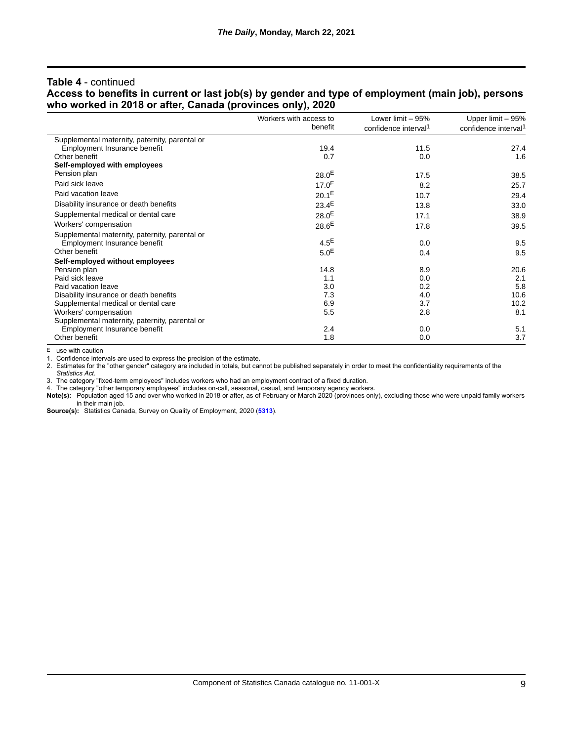#### **Table 4** - continued

#### **Access to benefits in current or last job(s) by gender and type of employment (main job), persons who worked in 2018 or after, Canada (provinces only), 2020**

|                                                | Workers with access to<br>benefit | Lower limit $-95%$<br>confidence interval <sup>1</sup> | Upper limit - 95%<br>confidence interval <sup>1</sup> |
|------------------------------------------------|-----------------------------------|--------------------------------------------------------|-------------------------------------------------------|
|                                                |                                   |                                                        |                                                       |
| Supplemental maternity, paternity, parental or |                                   |                                                        |                                                       |
| Employment Insurance benefit                   | 19.4                              | 11.5                                                   | 27.4                                                  |
| Other benefit                                  | 0.7                               | 0.0                                                    | 1.6                                                   |
| Self-employed with employees                   |                                   |                                                        |                                                       |
| Pension plan                                   | $28.0^{E}$                        | 17.5                                                   | 38.5                                                  |
| Paid sick leave                                | $17.0^{E}$                        | 8.2                                                    | 25.7                                                  |
| Paid vacation leave                            | $20.1^E$                          | 10.7                                                   | 29.4                                                  |
| Disability insurance or death benefits         | $23.4^E$                          | 13.8                                                   | 33.0                                                  |
| Supplemental medical or dental care            | $28.0^{E}$                        | 17.1                                                   | 38.9                                                  |
| Workers' compensation                          | $28.6^{E}$                        | 17.8                                                   | 39.5                                                  |
| Supplemental maternity, paternity, parental or |                                   |                                                        |                                                       |
| Employment Insurance benefit                   | $4.5^E$                           | 0.0                                                    | 9.5                                                   |
| Other benefit                                  | 5.0 <sup>E</sup>                  | 0.4                                                    | 9.5                                                   |
| Self-employed without employees                |                                   |                                                        |                                                       |
| Pension plan                                   | 14.8                              | 8.9                                                    | 20.6                                                  |
| Paid sick leave                                | 1.1                               | 0.0                                                    | 2.1                                                   |
| Paid vacation leave                            | 3.0                               | 0.2                                                    | 5.8                                                   |
| Disability insurance or death benefits         | 7.3                               | 4.0                                                    | 10.6                                                  |
| Supplemental medical or dental care            | 6.9                               | 3.7                                                    | 10.2                                                  |
| Workers' compensation                          | 5.5                               | 2.8                                                    | 8.1                                                   |
| Supplemental maternity, paternity, parental or |                                   |                                                        |                                                       |
| Employment Insurance benefit                   | 2.4                               | 0.0                                                    | 5.1                                                   |
| Other benefit                                  | 1.8                               | 0.0                                                    | 3.7                                                   |

E use with caution

1. Confidence intervals are used to express the precision of the estimate.

2. Estimates for the "other gender" category are included in totals, but cannot be published separately in order to meet the confidentiality requirements of the *Statistics Act*.

3. The category "fixed-term employees" includes workers who had an employment contract of a fixed duration.

4. The category "other temporary employees" includes on-call, seasonal, casual, and temporary agency workers.

**Note(s):** Population aged 15 and over who worked in 2018 or after, as of February or March 2020 (provinces only), excluding those who were unpaid family workers in their main job.

**Source(s):** Statistics Canada, Survey on Quality of Employment, 2020 (**[5313](http://www23.statcan.gc.ca/imdb/p2SV.pl?Function=getSurvey&SDDS=5313)**).